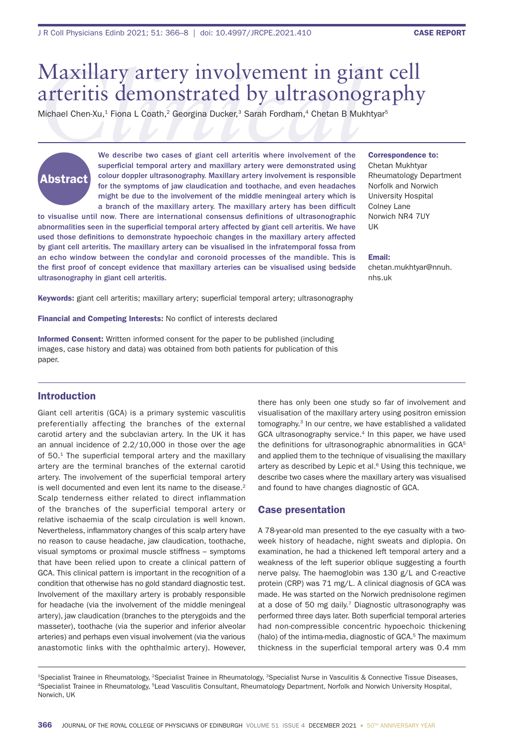# Maxillary artery involvement in gia<br>arteritis demonstrated by ultrasono<br>Michael Chen-Xu,<sup>1</sup> Fiona L Coath,<sup>2</sup> Georgina Ducker,<sup>3</sup> Sarah Fordham,<sup>4</sup> Chetan B Mul<br>We describe two cases of giant cell arteritis where involveme Maxillary artery involvement in giant cell arteritis demonstrated by ultrasonography

Michael Chen-Xu,<sup>1</sup> Fiona L Coath,<sup>2</sup> Georgina Ducker,<sup>3</sup> Sarah Fordham,<sup>4</sup> Chetan B Mukhtyar<sup>5</sup>

# Abstract

We describe two cases of giant cell arteritis where involvement of the superficial temporal artery and maxillary artery were demonstrated using colour doppler ultrasonography. Maxillary artery involvement is responsible for the symptoms of jaw claudication and toothache, and even headaches might be due to the involvement of the middle meningeal artery which is a branch of the maxillary artery. The maxillary artery has been difficult

to visualise until now. There are international consensus definitions of ultrasonographic abnormalities seen in the superficial temporal artery affected by giant cell arteritis. We have used those definitions to demonstrate hypoechoic changes in the maxillary artery affected by giant cell arteritis. The maxillary artery can be visualised in the infratemporal fossa from an echo window between the condylar and coronoid processes of the mandible. This is the first proof of concept evidence that maxillary arteries can be visualised using bedside ultrasonography in giant cell arteritis.

Correspondence to: Chetan Mukhtyar Rheumatology Department Norfolk and Norwich University Hospital Colney Lane Norwich NR4 7UY UK

Email:

chetan.mukhtyar@nnuh. nhs.uk

Keywords: giant cell arteritis; maxillary artery; superficial temporal artery; ultrasonography

Financial and Competing Interests: No conflict of interests declared

Informed Consent: Written informed consent for the paper to be published (including images, case history and data) was obtained from both patients for publication of this paper.

#### Introduction

Giant cell arteritis (GCA) is a primary systemic vasculitis preferentially affecting the branches of the external carotid artery and the subclavian artery. In the UK it has an annual incidence of 2.2/10,000 in those over the age of  $50<sup>1</sup>$ . The superficial temporal artery and the maxillary artery are the terminal branches of the external carotid artery. The involvement of the superficial temporal artery is well documented and even lent its name to the disease.<sup>2</sup> Scalp tenderness either related to direct inflammation of the branches of the superficial temporal artery or relative ischaemia of the scalp circulation is well known. Nevertheless, inflammatory changes of this scalp artery have no reason to cause headache, jaw claudication, toothache, visual symptoms or proximal muscle stiffness – symptoms that have been relied upon to create a clinical pattern of GCA. This clinical pattern is important in the recognition of a condition that otherwise has no gold standard diagnostic test. Involvement of the maxillary artery is probably responsible for headache (via the involvement of the middle meningeal artery), jaw claudication (branches to the pterygoids and the masseter), toothache (via the superior and inferior alveolar arteries) and perhaps even visual involvement (via the various anastomotic links with the ophthalmic artery). However,

there has only been one study so far of involvement and visualisation of the maxillary artery using positron emission tomography.3 In our centre, we have established a validated GCA ultrasonography service. $4$  In this paper, we have used the definitions for ultrasonographic abnormalities in GCA<sup>5</sup> and applied them to the technique of visualising the maxillary artery as described by Lepic et al.<sup>6</sup> Using this technique, we describe two cases where the maxillary artery was visualised and found to have changes diagnostic of GCA.

#### Case presentation

A 78-year-old man presented to the eye casualty with a twoweek history of headache, night sweats and diplopia. On examination, he had a thickened left temporal artery and a weakness of the left superior oblique suggesting a fourth nerve palsy. The haemoglobin was 130 g/L and C-reactive protein (CRP) was 71 mg/L. A clinical diagnosis of GCA was made. He was started on the Norwich prednisolone regimen at a dose of 50 mg daily.<sup>7</sup> Diagnostic ultrasonography was performed three days later. Both superficial temporal arteries had non-compressible concentric hypoechoic thickening (halo) of the intima-media, diagnostic of  $GCA$ <sup>5</sup> The maximum thickness in the superficial temporal artery was 0.4 mm

<sup>1</sup>Specialist Trainee in Rheumatology, <sup>2</sup>Specialist Trainee in Rheumatology, <sup>3</sup>Specialist Nurse in Vasculitis & Connective Tissue Diseases,<br><sup>4</sup>Specialist Trainee in Rheumatology, <sup>5</sup>Lead Vasculitis Consultant, Rheumatolo Norwich, UK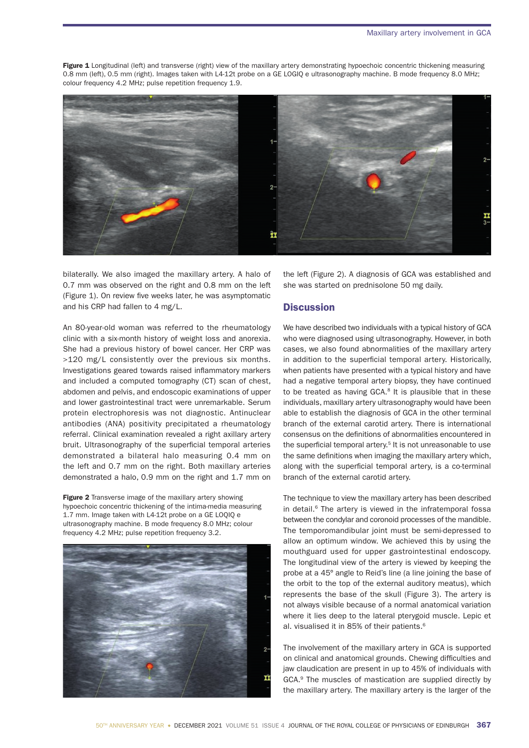Figure 1 Longitudinal (left) and transverse (right) view of the maxillary artery demonstrating hypoechoic concentric thickening measuring 0.8 mm (left), 0.5 mm (right). Images taken with L4-12t probe on a GE LOGIQ e ultrasonography machine. B mode frequency 8.0 MHz; colour frequency 4.2 MHz; pulse repetition frequency 1.9.



bilaterally. We also imaged the maxillary artery. A halo of 0.7 mm was observed on the right and 0.8 mm on the left (Figure 1). On review five weeks later, he was asymptomatic and his CRP had fallen to 4 mg/L.

An 80-year-old woman was referred to the rheumatology clinic with a six-month history of weight loss and anorexia. She had a previous history of bowel cancer. Her CRP was >120 mg/L consistently over the previous six months. Investigations geared towards raised inflammatory markers and included a computed tomography (CT) scan of chest, abdomen and pelvis, and endoscopic examinations of upper and lower gastrointestinal tract were unremarkable. Serum protein electrophoresis was not diagnostic. Antinuclear antibodies (ANA) positivity precipitated a rheumatology referral. Clinical examination revealed a right axillary artery bruit. Ultrasonography of the superficial temporal arteries demonstrated a bilateral halo measuring 0.4 mm on the left and 0.7 mm on the right. Both maxillary arteries demonstrated a halo, 0.9 mm on the right and 1.7 mm on

Figure 2 Transverse image of the maxillary artery showing hypoechoic concentric thickening of the intima-media measuring 1.7 mm. Image taken with L4-12t probe on a GE LOQIQ e ultrasonography machine. B mode frequency 8.0 MHz; colour frequency 4.2 MHz; pulse repetition frequency 3.2.



the left (Figure 2). A diagnosis of GCA was established and she was started on prednisolone 50 mg daily.

## **Discussion**

We have described two individuals with a typical history of GCA who were diagnosed using ultrasonography. However, in both cases, we also found abnormalities of the maxillary artery in addition to the superficial temporal artery. Historically, when patients have presented with a typical history and have had a negative temporal artery biopsy, they have continued to be treated as having  $GCA$ <sup>8</sup> It is plausible that in these individuals, maxillary artery ultrasonography would have been able to establish the diagnosis of GCA in the other terminal branch of the external carotid artery. There is international consensus on the definitions of abnormalities encountered in the superficial temporal artery.<sup>5</sup> It is not unreasonable to use the same definitions when imaging the maxillary artery which, along with the superficial temporal artery, is a co-terminal branch of the external carotid artery.

The technique to view the maxillary artery has been described in detail.<sup>6</sup> The artery is viewed in the infratemporal fossa between the condylar and coronoid processes of the mandible. The temporomandibular joint must be semi-depressed to allow an optimum window. We achieved this by using the mouthguard used for upper gastrointestinal endoscopy. The longitudinal view of the artery is viewed by keeping the probe at a 45º angle to Reid's line (a line joining the base of the orbit to the top of the external auditory meatus), which represents the base of the skull (Figure 3). The artery is not always visible because of a normal anatomical variation where it lies deep to the lateral pterygoid muscle. Lepic et al. visualised it in 85% of their patients.<sup>6</sup>

The involvement of the maxillary artery in GCA is supported on clinical and anatomical grounds. Chewing difficulties and jaw claudication are present in up to 45% of individuals with GCA.9 The muscles of mastication are supplied directly by the maxillary artery. The maxillary artery is the larger of the